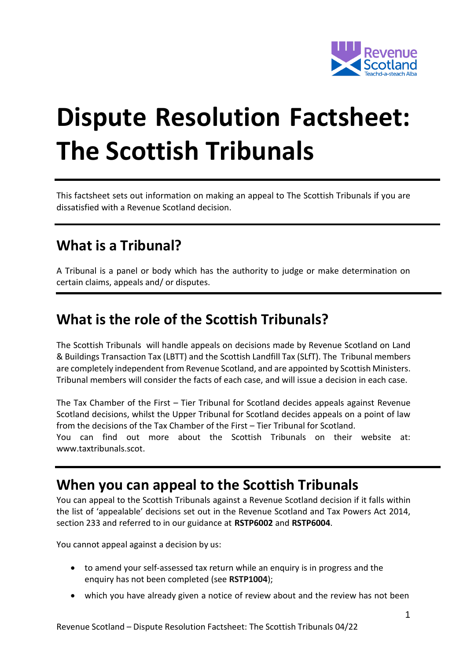

# **Dispute Resolution Factsheet: The Scottish Tribunals**

This factsheet sets out information on making an appeal to The Scottish Tribunals if you are dissatisfied with a Revenue Scotland decision.

# **What is a Tribunal?**

A Tribunal is a panel or body which has the authority to judge or make determination on certain claims, appeals and/ or disputes.

#### **What is the role of the Scottish Tribunals?**

The Scottish Tribunals will handle appeals on decisions made by Revenue Scotland on Land & Buildings Transaction Tax (LBTT) and the Scottish Landfill Tax (SLfT). The Tribunal members are completely independent from Revenue Scotland, and are appointed by Scottish Ministers. Tribunal members will consider the facts of each case, and will issue a decision in each case.

The Tax Chamber of the First – Tier Tribunal for Scotland decides appeals against Revenue Scotland decisions, whilst the Upper Tribunal for Scotland decides appeals on a point of law from the decisions of the Tax Chamber of the First – Tier Tribunal for Scotland. You can find out more about the Scottish Tribunals on their website at: [www.taxtribunals.scot.](http://www.taxtribunals.scot/)

## **When you can appeal to the Scottish Tribunals**

You can appeal to the Scottish Tribunals against a Revenue Scotland decision if it falls within the list of 'appealable' decisions set out in the Revenue Scotland and Tax Powers Act 2014, section 233 and referred to in our guidance at **[RSTP6002](https://www.revenue.scot/legislation/rstpa-legislation-guidance/dispute-resolution/rstp6002)** and **RST[P6004](https://www.revenue.scot/legislation/rstpa-legislation-guidance/dispute-resolution/rstp6004)**.

You cannot appeal against a decision by us:

- to amend your self-assessed tax return while an enquiry is in progress and the enquiry has not been completed (see **[RSTP1004](https://www.revenue.scot/legislation/rstpa-legislation-guidance/tax-returns/rstp1004)**);
- which you have already given a notice of review about and the review has not been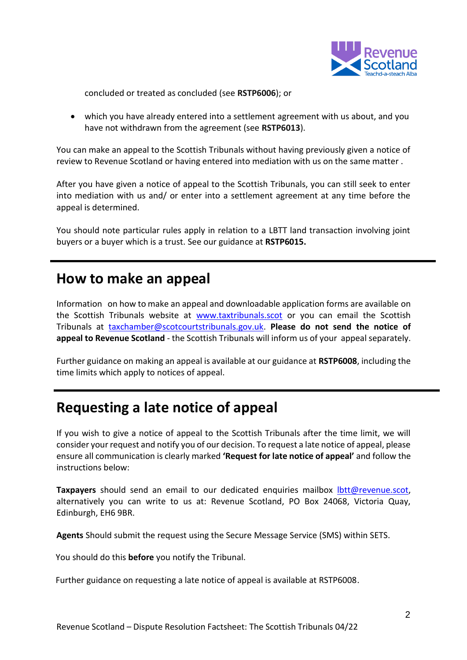

concluded or treated as concluded (see **[RSTP6006](https://www.revenue.scot/legislation/rstpa-legislation-guidance/dispute-resolution/rstp6006)**); or

 which you have already entered into a settlement agreement with us about, and you have not withdrawn from the agreement (see **[RSTP6013](https://www.revenue.scot/legislation/rstpa-legislation-guidance/dispute-resolution/rstp6013)**).

You can make an appeal to the Scottish Tribunals without having previously given a notice of review to Revenue Scotland or having entered into mediation with us on the same matter .

After you have given a notice of appeal to the Scottish Tribunals, you can still seek to enter into mediation with us and/ or enter into a settlement agreement at any time before the appeal is determined.

You should note particular rules apply in relation to a LBTT land transaction involving joint buyers or a buyer which is a trust. See our guidance at **[RSTP6015.](https://www.revenue.scot/legislation/rstpa-legislation-guidance/dispute-resolution/rstp6015)**

#### **How to make an appeal**

Information on how to make an appeal and downloadable application forms are available on the Scottish Tribunals website at [www.taxtribunals.scot](http://www.taxtribunals.scot/) or you can email the Scottish Tribunals at [taxchamber@scotcourtstribunals.gov.uk.](mailto:taxchamber@scotcourtstribunals.gov.uk) **Please do not send the notice of appeal to Revenue Scotland** - the Scottish Tribunals will inform us of your appeal separately.

Further guidance on making an appeal is available at our guidance at **RSTP6008**, including the time limits which apply to notices of appeal.

## **Requesting a late notice of appeal**

If you wish to give a notice of appeal to the Scottish Tribunals after the time limit, we will consider your request and notify you of our decision. To request a late notice of appeal, please ensure all communication is clearly marked **'Request for late notice of appeal'** and follow the instructions below:

**Taxpayers** should send an email to our dedicated enquiries mailbox [lbtt@revenue.scot,](mailto:lbtt@revenue.scot) alternatively you can write to us at: Revenue Scotland, PO Box 24068, Victoria Quay, Edinburgh, EH6 9BR.

**Agents** Should submit the request using the Secure Message Service (SMS) within SETS.

You should do this **before** you notify the Tribunal.

Further guidance on requesting a late notice of appeal is available at RSTP6008.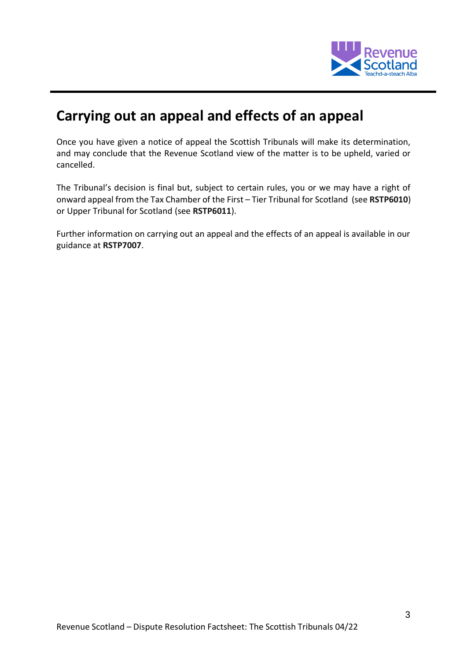

## **Carrying out an appeal and effects of an appeal**

Once you have given a notice of appeal the Scottish Tribunals will make its determination, and may conclude that the Revenue Scotland view of the matter is to be upheld, varied or cancelled.

The Tribunal's decision is final but, subject to certain rules, you or we may have a right of onward appeal from the Tax Chamber of the First – Tier Tribunal for Scotland (see **[RSTP6010](https://www.revenue.scot/legislation/rstpa-legislation-guidance/dispute-resolution/rstp6010)**) or Upper Tribunal for Scotland (see **[RSTP6011](https://www.revenue.scot/legislation/rstpa-legislation-guidance/dispute-resolution/rstp6011)**).

Further information on carrying out an appeal and the effects of an appeal is available in our guidance at **[RSTP7007](https://www.revenue.scot/legislation/rstpa-legislation-guidance/claims-not-return/rstp7007)**.